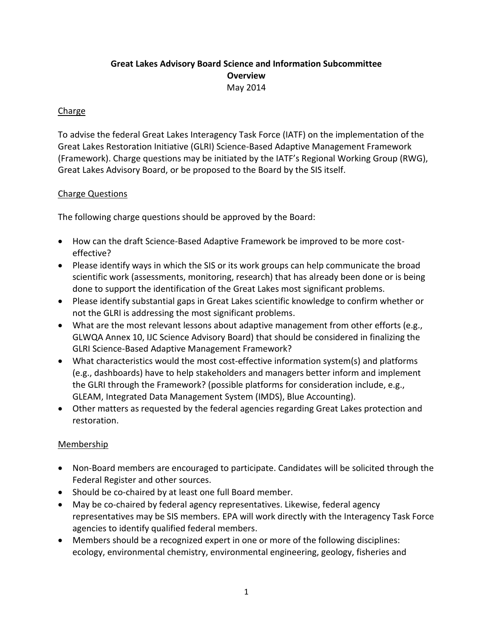## **Great Lakes Advisory Board Science and Information Subcommittee Overview** May 2014

#### Charge

To advise the federal Great Lakes Interagency Task Force (IATF) on the implementation of the Great Lakes Restoration Initiative (GLRI) Science-Based Adaptive Management Framework (Framework). Charge questions may be initiated by the IATF's Regional Working Group (RWG), Great Lakes Advisory Board, or be proposed to the Board by the SIS itself.

#### Charge Questions

The following charge questions should be approved by the Board:

- How can the draft Science-Based Adaptive Framework be improved to be more costeffective?
- Please identify ways in which the SIS or its work groups can help communicate the broad scientific work (assessments, monitoring, research) that has already been done or is being done to support the identification of the Great Lakes most significant problems.
- Please identify substantial gaps in Great Lakes scientific knowledge to confirm whether or not the GLRI is addressing the most significant problems.
- What are the most relevant lessons about adaptive management from other efforts (e.g., GLWQA Annex 10, IJC Science Advisory Board) that should be considered in finalizing the GLRI Science-Based Adaptive Management Framework?
- What characteristics would the most cost-effective information system(s) and platforms (e.g., dashboards) have to help stakeholders and managers better inform and implement the GLRI through the Framework? (possible platforms for consideration include, e.g., GLEAM, Integrated Data Management System (IMDS), Blue Accounting).
- Other matters as requested by the federal agencies regarding Great Lakes protection and restoration.

#### Membership

- Non-Board members are encouraged to participate. Candidates will be solicited through the Federal Register and other sources.
- Should be co-chaired by at least one full Board member.
- May be co-chaired by federal agency representatives. Likewise, federal agency representatives may be SIS members. EPA will work directly with the Interagency Task Force agencies to identify qualified federal members.
- Members should be a recognized expert in one or more of the following disciplines: ecology, environmental chemistry, environmental engineering, geology, fisheries and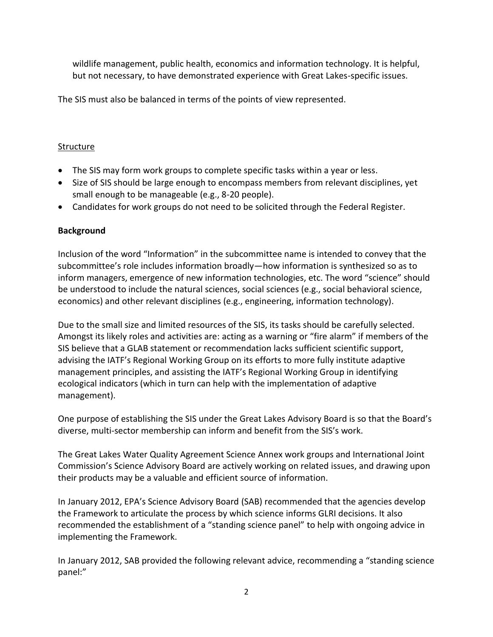wildlife management, public health, economics and information technology. It is helpful, but not necessary, to have demonstrated experience with Great Lakes-specific issues.

The SIS must also be balanced in terms of the points of view represented.

### Structure

- The SIS may form work groups to complete specific tasks within a year or less.
- Size of SIS should be large enough to encompass members from relevant disciplines, yet small enough to be manageable (e.g., 8-20 people).
- Candidates for work groups do not need to be solicited through the Federal Register.

# **Background**

Inclusion of the word "Information" in the subcommittee name is intended to convey that the subcommittee's role includes information broadly—how information is synthesized so as to inform managers, emergence of new information technologies, etc. The word "science" should be understood to include the natural sciences, social sciences (e.g., social behavioral science, economics) and other relevant disciplines (e.g., engineering, information technology).

Due to the small size and limited resources of the SIS, its tasks should be carefully selected. Amongst its likely roles and activities are: acting as a warning or "fire alarm" if members of the SIS believe that a GLAB statement or recommendation lacks sufficient scientific support, advising the IATF's Regional Working Group on its efforts to more fully institute adaptive management principles, and assisting the IATF's Regional Working Group in identifying ecological indicators (which in turn can help with the implementation of adaptive management).

One purpose of establishing the SIS under the Great Lakes Advisory Board is so that the Board's diverse, multi-sector membership can inform and benefit from the SIS's work.

The Great Lakes Water Quality Agreement Science Annex work groups and International Joint Commission's Science Advisory Board are actively working on related issues, and drawing upon their products may be a valuable and efficient source of information.

In January 2012, EPA's Science Advisory Board (SAB) recommended that the agencies develop the Framework to articulate the process by which science informs GLRI decisions. It also recommended the establishment of a "standing science panel" to help with ongoing advice in implementing the Framework.

In January 2012, SAB provided the following relevant advice, recommending a "standing science panel:"